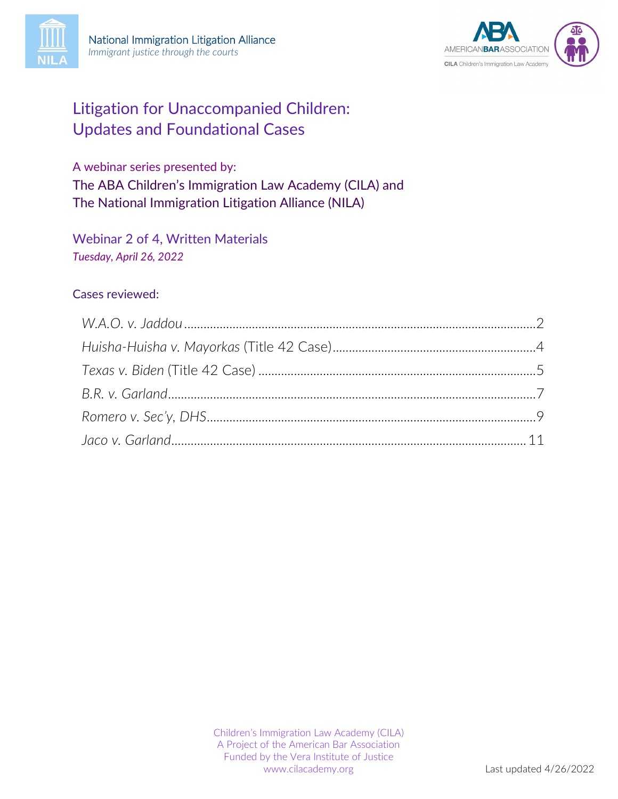



# Litigation for Unaccompanied Children: Updates and Foundational Cases

A webinar series presented by: The ABA Children's Immigration Law Academy (CILA) and The National Immigration Litigation Alliance (NILA)

Webinar 2 of 4, Written Materials *Tuesday, April 26, 2022*

#### Cases reviewed: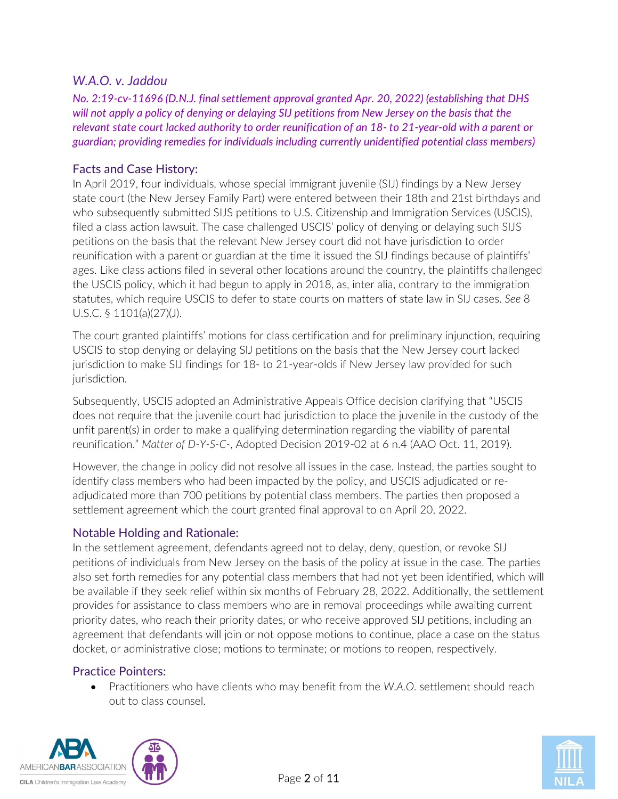## <span id="page-1-0"></span>*W.A.O. v. Jaddou*

*No. 2:19-cv-11696 (D.N.J. final settlement approval granted Apr. 20, 2022) (establishing that DHS will not apply a policy of denying or delaying SIJ petitions from New Jersey on the basis that the relevant state court lacked authority to order reunification of an 18- to 21-year-old with a parent or guardian; providing remedies for individuals including currently unidentified potential class members)*

#### Facts and Case History:

In April 2019, four individuals, whose special immigrant juvenile (SIJ) findings by a New Jersey state court (the New Jersey Family Part) were entered between their 18th and 21st birthdays and who subsequently submitted SIJS petitions to U.S. Citizenship and Immigration Services (USCIS), filed a class action lawsuit. The case challenged USCIS' policy of denying or delaying such SIJS petitions on the basis that the relevant New Jersey court did not have jurisdiction to order reunification with a parent or guardian at the time it issued the SIJ findings because of plaintiffs' ages. Like class actions filed in several other locations around the country, the plaintiffs challenged the USCIS policy, which it had begun to apply in 2018, as, inter alia, contrary to the immigration statutes, which require USCIS to defer to state courts on matters of state law in SIJ cases. *See* 8 U.S.C. § 1101(a)(27)(J).

The court granted plaintiffs' motions for class certification and for preliminary injunction, requiring USCIS to stop denying or delaying SIJ petitions on the basis that the New Jersey court lacked jurisdiction to make SIJ findings for 18- to 21-year-olds if New Jersey law provided for such jurisdiction.

Subsequently, USCIS adopted an Administrative Appeals Office decision clarifying that "USCIS does not require that the juvenile court had jurisdiction to place the juvenile in the custody of the unfit parent(s) in order to make a qualifying determination regarding the viability of parental reunification." *Matter of D-Y-S-C-*, Adopted Decision 2019-02 at 6 n.4 (AAO Oct. 11, 2019).

However, the change in policy did not resolve all issues in the case. Instead, the parties sought to identify class members who had been impacted by the policy, and USCIS adjudicated or readjudicated more than 700 petitions by potential class members. The parties then proposed a settlement agreement which the court granted final approval to on April 20, 2022.

#### Notable Holding and Rationale:

In the settlement agreement, defendants agreed not to delay, deny, question, or revoke SIJ petitions of individuals from New Jersey on the basis of the policy at issue in the case. The parties also set forth remedies for any potential class members that had not yet been identified, which will be available if they seek relief within six months of February 28, 2022. Additionally, the settlement provides for assistance to class members who are in removal proceedings while awaiting current priority dates, who reach their priority dates, or who receive approved SIJ petitions, including an agreement that defendants will join or not oppose motions to continue, place a case on the status docket, or administrative close; motions to terminate; or motions to reopen, respectively.

#### Practice Pointers:

• Practitioners who have clients who may benefit from the *W.A.O.* settlement should reach out to class counsel.



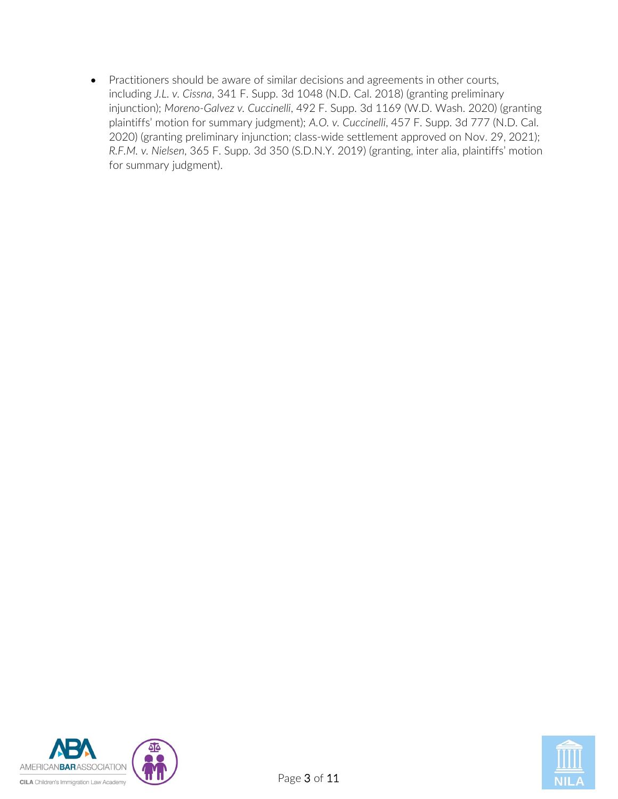• Practitioners should be aware of similar decisions and agreements in other courts, including *J.L. v. Cissna*, 341 F. Supp. 3d 1048 (N.D. Cal. 2018) (granting preliminary injunction); *Moreno-Galvez v. Cuccinelli*, 492 F. Supp. 3d 1169 (W.D. Wash. 2020) (granting plaintiffs' motion for summary judgment); *A.O. v. Cuccinelli*, 457 F. Supp. 3d 777 (N.D. Cal. 2020) (granting preliminary injunction; class-wide settlement approved on Nov. 29, 2021); *R.F.M. v. Nielsen*, 365 F. Supp. 3d 350 (S.D.N.Y. 2019) (granting, inter alia, plaintiffs' motion for summary judgment).



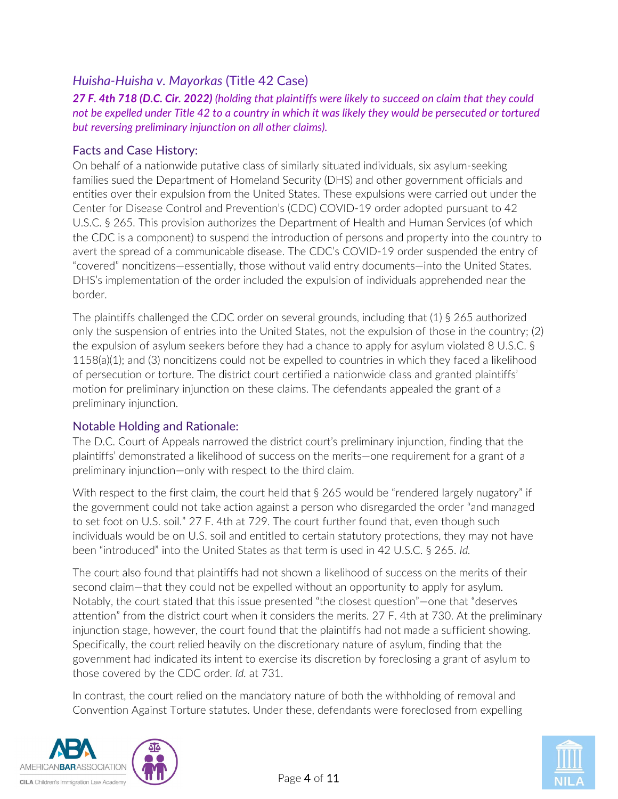## <span id="page-3-0"></span>*Huisha-Huisha v. Mayorkas* (Title 42 Case)

*27 F. 4th 718 (D.C. Cir. 2022) (holding that plaintiffs were likely to succeed on claim that they could not be expelled under Title 42 to a country in which it was likely they would be persecuted or tortured but reversing preliminary injunction on all other claims).*

#### Facts and Case History:

On behalf of a nationwide putative class of similarly situated individuals, six asylum-seeking families sued the Department of Homeland Security (DHS) and other government officials and entities over their expulsion from the United States. These expulsions were carried out under the Center for Disease Control and Prevention's (CDC) COVID-19 order adopted pursuant to 42 U.S.C. § 265. This provision authorizes the Department of Health and Human Services (of which the CDC is a component) to suspend the introduction of persons and property into the country to avert the spread of a communicable disease. The CDC's COVID-19 order suspended the entry of "covered" noncitizens—essentially, those without valid entry documents—into the United States. DHS's implementation of the order included the expulsion of individuals apprehended near the border.

The plaintiffs challenged the CDC order on several grounds, including that (1) § 265 authorized only the suspension of entries into the United States, not the expulsion of those in the country; (2) the expulsion of asylum seekers before they had a chance to apply for asylum violated 8 U.S.C. § 1158(a)(1); and (3) noncitizens could not be expelled to countries in which they faced a likelihood of persecution or torture. The district court certified a nationwide class and granted plaintiffs' motion for preliminary injunction on these claims. The defendants appealed the grant of a preliminary injunction.

#### Notable Holding and Rationale:

The D.C. Court of Appeals narrowed the district court's preliminary injunction, finding that the plaintiffs' demonstrated a likelihood of success on the merits—one requirement for a grant of a preliminary injunction—only with respect to the third claim.

With respect to the first claim, the court held that § 265 would be "rendered largely nugatory" if the government could not take action against a person who disregarded the order "and managed to set foot on U.S. soil." 27 F. 4th at 729. The court further found that, even though such individuals would be on U.S. soil and entitled to certain statutory protections, they may not have been "introduced" into the United States as that term is used in 42 U.S.C. § 265. *Id.*

The court also found that plaintiffs had not shown a likelihood of success on the merits of their second claim—that they could not be expelled without an opportunity to apply for asylum. Notably, the court stated that this issue presented "the closest question"—one that "deserves attention" from the district court when it considers the merits. 27 F. 4th at 730. At the preliminary injunction stage, however, the court found that the plaintiffs had not made a sufficient showing. Specifically, the court relied heavily on the discretionary nature of asylum, finding that the government had indicated its intent to exercise its discretion by foreclosing a grant of asylum to those covered by the CDC order. *Id.* at 731.

In contrast, the court relied on the mandatory nature of both the withholding of removal and Convention Against Torture statutes. Under these, defendants were foreclosed from expelling



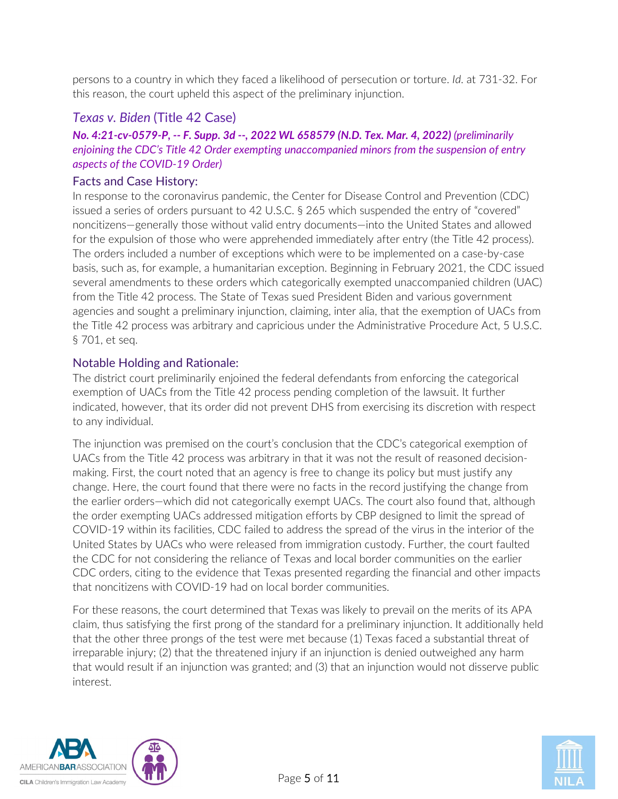persons to a country in which they faced a likelihood of persecution or torture. *Id*. at 731-32. For this reason, the court upheld this aspect of the preliminary injunction.

## <span id="page-4-0"></span>*Texas v. Biden* (Title 42 Case)

### *No. 4:21-cv-0579-P, -- F. Supp. 3d --, 2022 WL 658579 (N.D. Tex. Mar. 4, 2022) (preliminarily enjoining the CDC's Title 42 Order exempting unaccompanied minors from the suspension of entry aspects of the COVID-19 Order)*

#### Facts and Case History:

In response to the coronavirus pandemic, the Center for Disease Control and Prevention (CDC) issued a series of orders pursuant to 42 U.S.C. § 265 which suspended the entry of "covered" noncitizens—generally those without valid entry documents—into the United States and allowed for the expulsion of those who were apprehended immediately after entry (the Title 42 process). The orders included a number of exceptions which were to be implemented on a case-by-case basis, such as, for example, a humanitarian exception. Beginning in February 2021, the CDC issued several amendments to these orders which categorically exempted unaccompanied children (UAC) from the Title 42 process. The State of Texas sued President Biden and various government agencies and sought a preliminary injunction, claiming, inter alia, that the exemption of UACs from the Title 42 process was arbitrary and capricious under the Administrative Procedure Act, 5 U.S.C. § 701, et seq.

#### Notable Holding and Rationale:

The district court preliminarily enjoined the federal defendants from enforcing the categorical exemption of UACs from the Title 42 process pending completion of the lawsuit. It further indicated, however, that its order did not prevent DHS from exercising its discretion with respect to any individual.

The injunction was premised on the court's conclusion that the CDC's categorical exemption of UACs from the Title 42 process was arbitrary in that it was not the result of reasoned decisionmaking. First, the court noted that an agency is free to change its policy but must justify any change. Here, the court found that there were no facts in the record justifying the change from the earlier orders—which did not categorically exempt UACs. The court also found that, although the order exempting UACs addressed mitigation efforts by CBP designed to limit the spread of COVID-19 within its facilities, CDC failed to address the spread of the virus in the interior of the United States by UACs who were released from immigration custody. Further, the court faulted the CDC for not considering the reliance of Texas and local border communities on the earlier CDC orders, citing to the evidence that Texas presented regarding the financial and other impacts that noncitizens with COVID-19 had on local border communities.

For these reasons, the court determined that Texas was likely to prevail on the merits of its APA claim, thus satisfying the first prong of the standard for a preliminary injunction. It additionally held that the other three prongs of the test were met because (1) Texas faced a substantial threat of irreparable injury; (2) that the threatened injury if an injunction is denied outweighed any harm that would result if an injunction was granted; and (3) that an injunction would not disserve public interest.



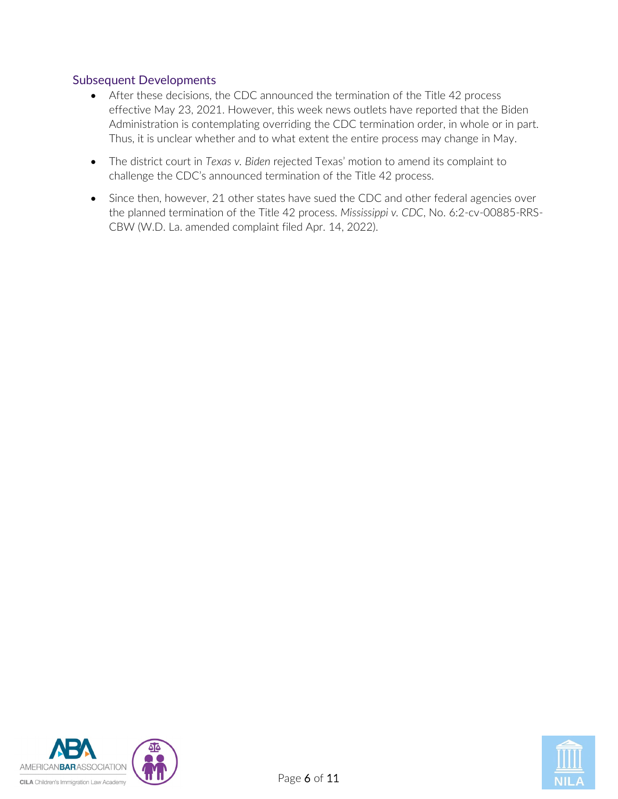#### Subsequent Developments

- After these decisions, the CDC announced the termination of the Title 42 process effective May 23, 2021. However, this week news outlets have reported that the Biden Administration is contemplating overriding the CDC termination order, in whole or in part. Thus, it is unclear whether and to what extent the entire process may change in May.
- The district court in *Texas v. Biden* rejected Texas' motion to amend its complaint to challenge the CDC's announced termination of the Title 42 process.
- Since then, however, 21 other states have sued the CDC and other federal agencies over the planned termination of the Title 42 process. *Mississippi v. CDC*, No. 6:2-cv-00885-RRS-CBW (W.D. La. amended complaint filed Apr. 14, 2022).



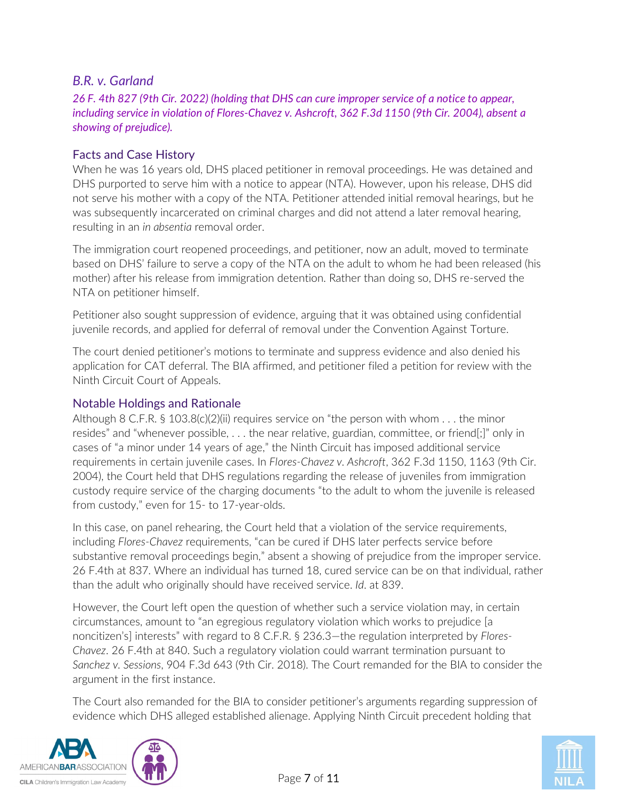## <span id="page-6-0"></span>*B.R. v. Garland*

*26 F. 4th 827 (9th Cir. 2022) (holding that DHS can cure improper service of a notice to appear, including service in violation of Flores-Chavez v. Ashcroft, 362 F.3d 1150 (9th Cir. 2004), absent a showing of prejudice).*

#### Facts and Case History

When he was 16 years old, DHS placed petitioner in removal proceedings. He was detained and DHS purported to serve him with a notice to appear (NTA). However, upon his release, DHS did not serve his mother with a copy of the NTA. Petitioner attended initial removal hearings, but he was subsequently incarcerated on criminal charges and did not attend a later removal hearing, resulting in an *in absentia* removal order.

The immigration court reopened proceedings, and petitioner, now an adult, moved to terminate based on DHS' failure to serve a copy of the NTA on the adult to whom he had been released (his mother) after his release from immigration detention. Rather than doing so, DHS re-served the NTA on petitioner himself.

Petitioner also sought suppression of evidence, arguing that it was obtained using confidential juvenile records, and applied for deferral of removal under the Convention Against Torture.

The court denied petitioner's motions to terminate and suppress evidence and also denied his application for CAT deferral. The BIA affirmed, and petitioner filed a petition for review with the Ninth Circuit Court of Appeals.

#### Notable Holdings and Rationale

Although 8 C.F.R. § 103.8(c)(2)(ii) requires service on "the person with whom  $\dots$  the minor resides" and "whenever possible, . . . the near relative, guardian, committee, or friend[;]" only in cases of "a minor under 14 years of age," the Ninth Circuit has imposed additional service requirements in certain juvenile cases. In *Flores-Chavez v. Ashcroft*, 362 F.3d 1150, 1163 (9th Cir. 2004), the Court held that DHS regulations regarding the release of juveniles from immigration custody require service of the charging documents "to the adult to whom the juvenile is released from custody," even for 15- to 17-year-olds.

In this case, on panel rehearing, the Court held that a violation of the service requirements, including *Flores-Chavez* requirements, "can be cured if DHS later perfects service before substantive removal proceedings begin," absent a showing of prejudice from the improper service. 26 F.4th at 837. Where an individual has turned 18, cured service can be on that individual, rather than the adult who originally should have received service. *Id*. at 839.

However, the Court left open the question of whether such a service violation may, in certain circumstances, amount to "an egregious regulatory violation which works to prejudice [a noncitizen's] interests" with regard to 8 C.F.R. § 236.3—the regulation interpreted by *Flores-Chavez*. 26 F.4th at 840. Such a regulatory violation could warrant termination pursuant to *Sanchez v. Sessions*, 904 F.3d 643 (9th Cir. 2018). The Court remanded for the BIA to consider the argument in the first instance.

The Court also remanded for the BIA to consider petitioner's arguments regarding suppression of evidence which DHS alleged established alienage. Applying Ninth Circuit precedent holding that



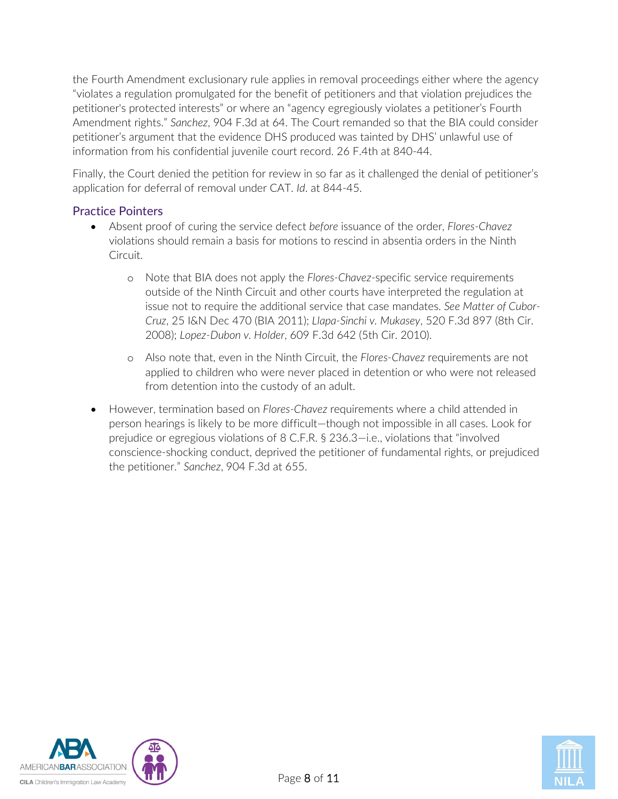the Fourth Amendment exclusionary rule applies in removal proceedings either where the agency "violates a regulation promulgated for the benefit of petitioners and that violation prejudices the petitioner's protected interests" or where an "agency egregiously violates a petitioner's Fourth Amendment rights." *Sanchez*, 904 F.3d at 64. The Court remanded so that the BIA could consider petitioner's argument that the evidence DHS produced was tainted by DHS' unlawful use of information from his confidential juvenile court record. 26 F.4th at 840-44.

Finally, the Court denied the petition for review in so far as it challenged the denial of petitioner's application for deferral of removal under CAT. *Id*. at 844-45.

#### Practice Pointers

- Absent proof of curing the service defect *before* issuance of the order, *Flores-Chavez*  violations should remain a basis for motions to rescind in absentia orders in the Ninth Circuit.
	- o Note that BIA does not apply the *Flores-Chavez*-specific service requirements outside of the Ninth Circuit and other courts have interpreted the regulation at issue not to require the additional service that case mandates. *See Matter of Cubor-Cruz*, 25 I&N Dec 470 (BIA 2011); *Llapa-Sinchi v. Mukasey*, 520 F.3d 897 (8th Cir. 2008); *Lopez-Dubon v. Holder*, 609 F.3d 642 (5th Cir. 2010).
	- o Also note that, even in the Ninth Circuit, the *Flores-Chavez* requirements are not applied to children who were never placed in detention or who were not released from detention into the custody of an adult.
- However, termination based on *Flores-Chavez* requirements where a child attended in person hearings is likely to be more difficult—though not impossible in all cases. Look for prejudice or egregious violations of 8 C.F.R. § 236.3—i.e., violations that "involved conscience-shocking conduct, deprived the petitioner of fundamental rights, or prejudiced the petitioner." *Sanchez*, 904 F.3d at 655.



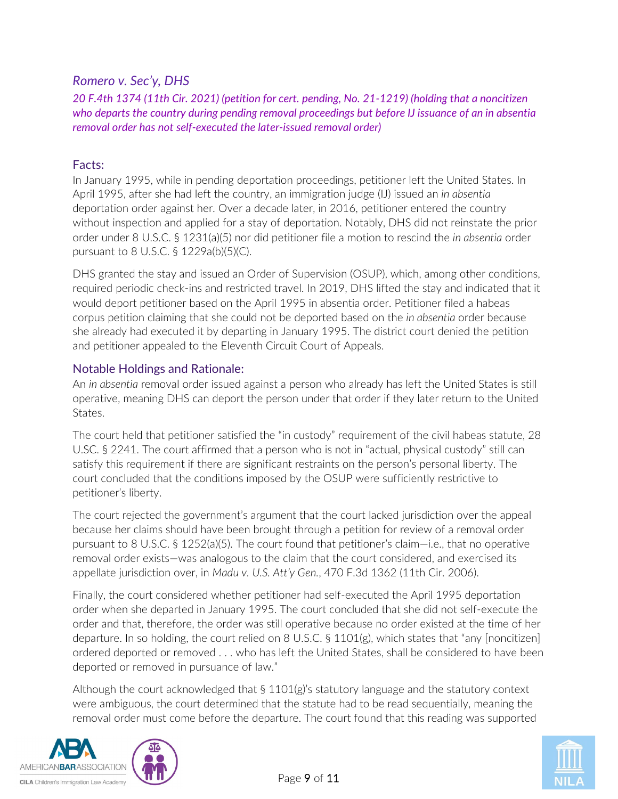## <span id="page-8-0"></span>*Romero v. Sec'y, DHS*

*20 F.4th 1374 (11th Cir. 2021) (petition for cert. pending, No. 21-1219) (holding that a noncitizen who departs the country during pending removal proceedings but before IJ issuance of an in absentia removal order has not self-executed the later-issued removal order)*

### Facts:

In January 1995, while in pending deportation proceedings, petitioner left the United States. In April 1995, after she had left the country, an immigration judge (IJ) issued an *in absentia* deportation order against her. Over a decade later, in 2016, petitioner entered the country without inspection and applied for a stay of deportation. Notably, DHS did not reinstate the prior order under 8 U.S.C. § 1231(a)(5) nor did petitioner file a motion to rescind the *in absentia* order pursuant to 8 U.S.C. § 1229a(b)(5)(C).

DHS granted the stay and issued an Order of Supervision (OSUP), which, among other conditions, required periodic check-ins and restricted travel. In 2019, DHS lifted the stay and indicated that it would deport petitioner based on the April 1995 in absentia order. Petitioner filed a habeas corpus petition claiming that she could not be deported based on the *in absentia* order because she already had executed it by departing in January 1995. The district court denied the petition and petitioner appealed to the Eleventh Circuit Court of Appeals.

## Notable Holdings and Rationale:

An *in absentia* removal order issued against a person who already has left the United States is still operative, meaning DHS can deport the person under that order if they later return to the United States.

The court held that petitioner satisfied the "in custody" requirement of the civil habeas statute, 28 U.SC. § 2241. The court affirmed that a person who is not in "actual, physical custody" still can satisfy this requirement if there are significant restraints on the person's personal liberty. The court concluded that the conditions imposed by the OSUP were sufficiently restrictive to petitioner's liberty.

The court rejected the government's argument that the court lacked jurisdiction over the appeal because her claims should have been brought through a petition for review of a removal order pursuant to 8 U.S.C. § 1252(a)(5). The court found that petitioner's claim—i.e., that no operative removal order exists—was analogous to the claim that the court considered, and exercised its appellate jurisdiction over, in *Madu v. U.S. Att'y Gen.*, 470 F.3d 1362 (11th Cir. 2006).

Finally, the court considered whether petitioner had self-executed the April 1995 deportation order when she departed in January 1995. The court concluded that she did not self-execute the order and that, therefore, the order was still operative because no order existed at the time of her departure. In so holding, the court relied on 8 U.S.C. § 1101(g), which states that "any [noncitizen] ordered deported or removed . . . who has left the United States, shall be considered to have been deported or removed in pursuance of law."

Although the court acknowledged that  $\S 1101(g)$ 's statutory language and the statutory context were ambiguous, the court determined that the statute had to be read sequentially, meaning the removal order must come before the departure. The court found that this reading was supported



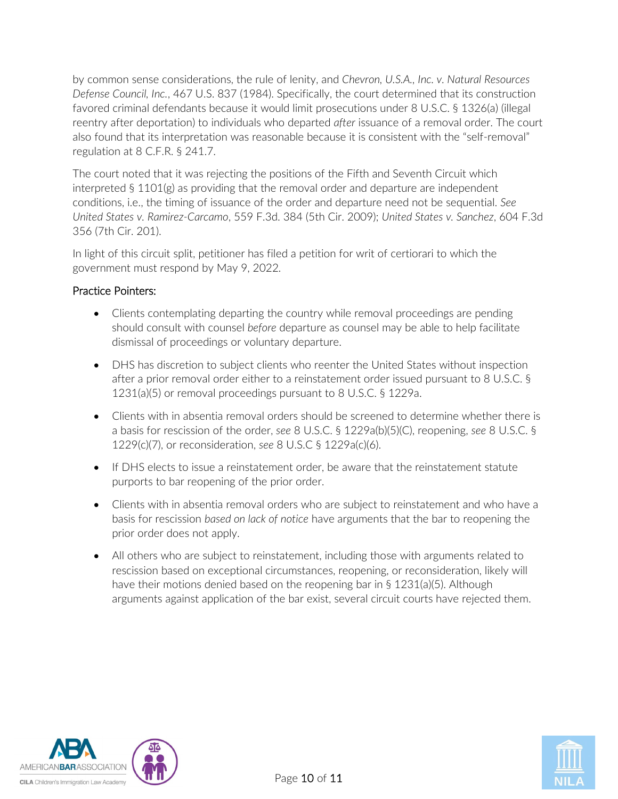by common sense considerations, the rule of lenity, and *Chevron, U.S.A., Inc. v. Natural Resources Defense Council, Inc.*, 467 U.S. 837 (1984). Specifically, the court determined that its construction favored criminal defendants because it would limit prosecutions under 8 U.S.C. § 1326(a) (illegal reentry after deportation) to individuals who departed *after* issuance of a removal order. The court also found that its interpretation was reasonable because it is consistent with the "self-removal" regulation at 8 C.F.R. § 241.7.

The court noted that it was rejecting the positions of the Fifth and Seventh Circuit which interpreted § 1101(g) as providing that the removal order and departure are independent conditions, i.e., the timing of issuance of the order and departure need not be sequential. *See United States v. Ramirez-Carcamo*, 559 F.3d. 384 (5th Cir. 2009); *United States v. Sanchez*, 604 F.3d 356 (7th Cir. 201).

In light of this circuit split, petitioner has filed a petition for writ of certiorari to which the government must respond by May 9, 2022.

## Practice Pointers:

- Clients contemplating departing the country while removal proceedings are pending should consult with counsel *before* departure as counsel may be able to help facilitate dismissal of proceedings or voluntary departure.
- DHS has discretion to subject clients who reenter the United States without inspection after a prior removal order either to a reinstatement order issued pursuant to 8 U.S.C. § 1231(a)(5) or removal proceedings pursuant to 8 U.S.C. § 1229a.
- Clients with in absentia removal orders should be screened to determine whether there is a basis for rescission of the order, *see* 8 U.S.C. § 1229a(b)(5)(C), reopening, *see* 8 U.S.C. § 1229(c)(7), or reconsideration, *see* 8 U.S.C § 1229a(c)(6).
- If DHS elects to issue a reinstatement order, be aware that the reinstatement statute purports to bar reopening of the prior order.
- Clients with in absentia removal orders who are subject to reinstatement and who have a basis for rescission *based on lack of notice* have arguments that the bar to reopening the prior order does not apply.
- All others who are subject to reinstatement, including those with arguments related to rescission based on exceptional circumstances, reopening, or reconsideration, likely will have their motions denied based on the reopening bar in § 1231(a)(5). Although arguments against application of the bar exist, several circuit courts have rejected them.